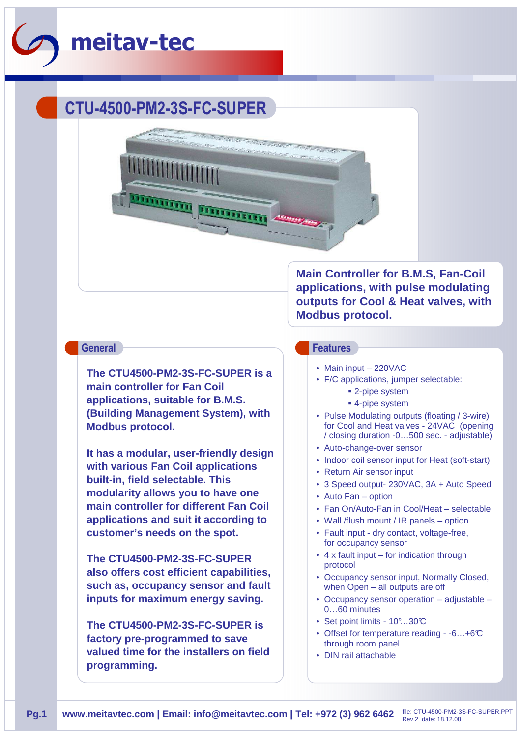

# **CTU-4500-PM2-3S-FC-SUPER**



**The CTU4500-PM2-3S-FC-SUPER is a main controller for Fan Coil applications, suitable for B.M.S. (Building Management System), with Modbus protocol.** 

**It has a modular, user-friendly design with various Fan Coil applications built-in, field selectable. This modularity allows you to have one main controller for different Fan Coil applications and suit it according to customer's needs on the spot.** 

**The CTU4500-PM2-3S-FC-SUPER also offers cost efficient capabilities, such as, occupancy sensor and fault inputs for maximum energy saving.**

**The CTU4500-PM2-3S-FC-SUPER is factory pre-programmed to save valued time for the installers on field programming.**

**Main Controller for B.M.S, Fan-Coil applications, with pulse modulating outputs for Cool & Heat valves, with Modbus protocol.**

### **General Features**

- Main input 220VAC
- F/C applications, jumper selectable:
	- 2-pipe system
	- 4-pipe system
- Pulse Modulating outputs (floating / 3-wire) for Cool and Heat valves - 24VAC (opening / closing duration -0…500 sec. - adjustable)
- Auto-change-over sensor
- Indoor coil sensor input for Heat (soft-start)
- Return Air sensor input
- 3 Speed output- 230VAC, 3A + Auto Speed
- Auto Fan option
- Fan On/Auto-Fan in Cool/Heat selectable
- Wall /flush mount / IR panels option
- Fault input dry contact, voltage-free, for occupancy sensor
- 4 x fault input for indication through protocol
- Occupancy sensor input, Normally Closed, when Open – all outputs are off
- Occupancy sensor operation adjustable 0…60 minutes
- Set point limits 10°...30°C
- Offset for temperature reading -6...+6°C through room panel
- DIN rail attachable